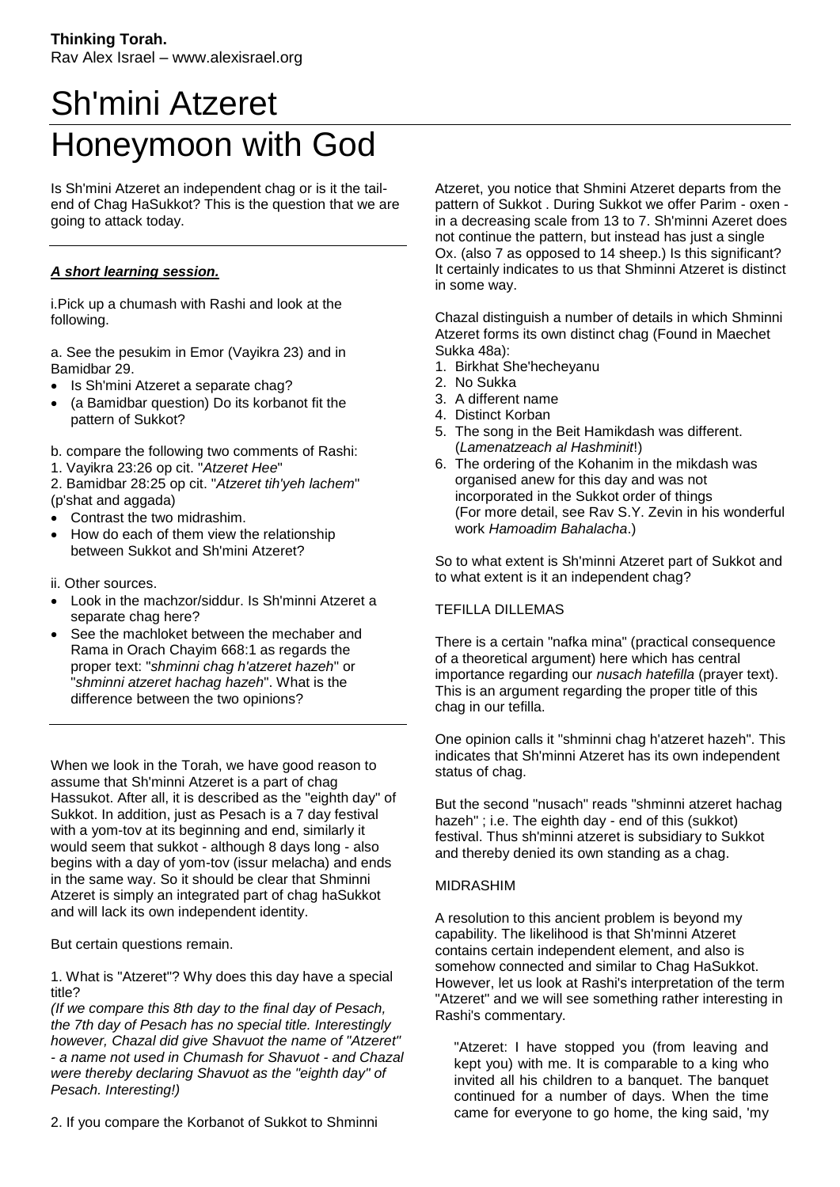## Sh'mini Atzeret Honeymoon with God

Is Sh'mini Atzeret an independent chag or is it the tailend of Chag HaSukkot? This is the question that we are going to attack today.

## *A short learning session.*

i.Pick up a chumash with Rashi and look at the following.

a. See the pesukim in Emor (Vayikra 23) and in Bamidbar 29.

- Is Sh'mini Atzeret a separate chag?
- (a Bamidbar question) Do its korbanot fit the pattern of Sukkot?
- b. compare the following two comments of Rashi:
- 1. Vayikra 23:26 op cit. "*Atzeret Hee*"

2. Bamidbar 28:25 op cit. "*Atzeret tih'yeh lachem*" (p'shat and aggada)

- Contrast the two midrashim.
- How do each of them view the relationship between Sukkot and Sh'mini Atzeret?
- ii. Other sources.
- Look in the machzor/siddur. Is Sh'minni Atzeret a separate chag here?
- See the machloket between the mechaber and Rama in Orach Chayim 668:1 as regards the proper text: "*shminni chag h'atzeret hazeh*" or "*shminni atzeret hachag hazeh*". What is the difference between the two opinions?

When we look in the Torah, we have good reason to assume that Sh'minni Atzeret is a part of chag Hassukot. After all, it is described as the "eighth day" of Sukkot. In addition, just as Pesach is a 7 day festival with a vom-tov at its beginning and end, similarly it would seem that sukkot - although 8 days long - also begins with a day of yom-tov (issur melacha) and ends in the same way. So it should be clear that Shminni Atzeret is simply an integrated part of chag haSukkot and will lack its own independent identity.

But certain questions remain.

1. What is "Atzeret"? Why does this day have a special title?

*(If we compare this 8th day to the final day of Pesach, the 7th day of Pesach has no special title. Interestingly however, Chazal did give Shavuot the name of "Atzeret" - a name not used in Chumash for Shavuot - and Chazal were thereby declaring Shavuot as the "eighth day" of Pesach. Interesting!)*

2. If you compare the Korbanot of Sukkot to Shminni

Atzeret, you notice that Shmini Atzeret departs from the pattern of Sukkot . During Sukkot we offer Parim - oxen in a decreasing scale from 13 to 7. Sh'minni Azeret does not continue the pattern, but instead has just a single Ox. (also 7 as opposed to 14 sheep.) Is this significant? It certainly indicates to us that Shminni Atzeret is distinct in some way.

Chazal distinguish a number of details in which Shminni Atzeret forms its own distinct chag (Found in Maechet Sukka 48a):

- 1. Birkhat She'hecheyanu
- 2. No Sukka
- 3. A different name
- 4. Distinct Korban
- 5. The song in the Beit Hamikdash was different. (*Lamenatzeach al Hashminit*!)
- 6. The ordering of the Kohanim in the mikdash was organised anew for this day and was not incorporated in the Sukkot order of things (For more detail, see Rav S.Y. Zevin in his wonderful work *Hamoadim Bahalacha*.)

So to what extent is Sh'minni Atzeret part of Sukkot and to what extent is it an independent chag?

## TEFILLA DILLEMAS

There is a certain "nafka mina" (practical consequence of a theoretical argument) here which has central importance regarding our *nusach hatefilla* (prayer text). This is an argument regarding the proper title of this chag in our tefilla.

One opinion calls it "shminni chag h'atzeret hazeh". This indicates that Sh'minni Atzeret has its own independent status of chag.

But the second "nusach" reads "shminni atzeret hachag hazeh" ; i.e. The eighth day - end of this (sukkot) festival. Thus sh'minni atzeret is subsidiary to Sukkot and thereby denied its own standing as a chag.

## MIDRASHIM

A resolution to this ancient problem is beyond my capability. The likelihood is that Sh'minni Atzeret contains certain independent element, and also is somehow connected and similar to Chag HaSukkot. However, let us look at Rashi's interpretation of the term "Atzeret" and we will see something rather interesting in Rashi's commentary.

"Atzeret: I have stopped you (from leaving and kept you) with me. It is comparable to a king who invited all his children to a banquet. The banquet continued for a number of days. When the time came for everyone to go home, the king said, 'my